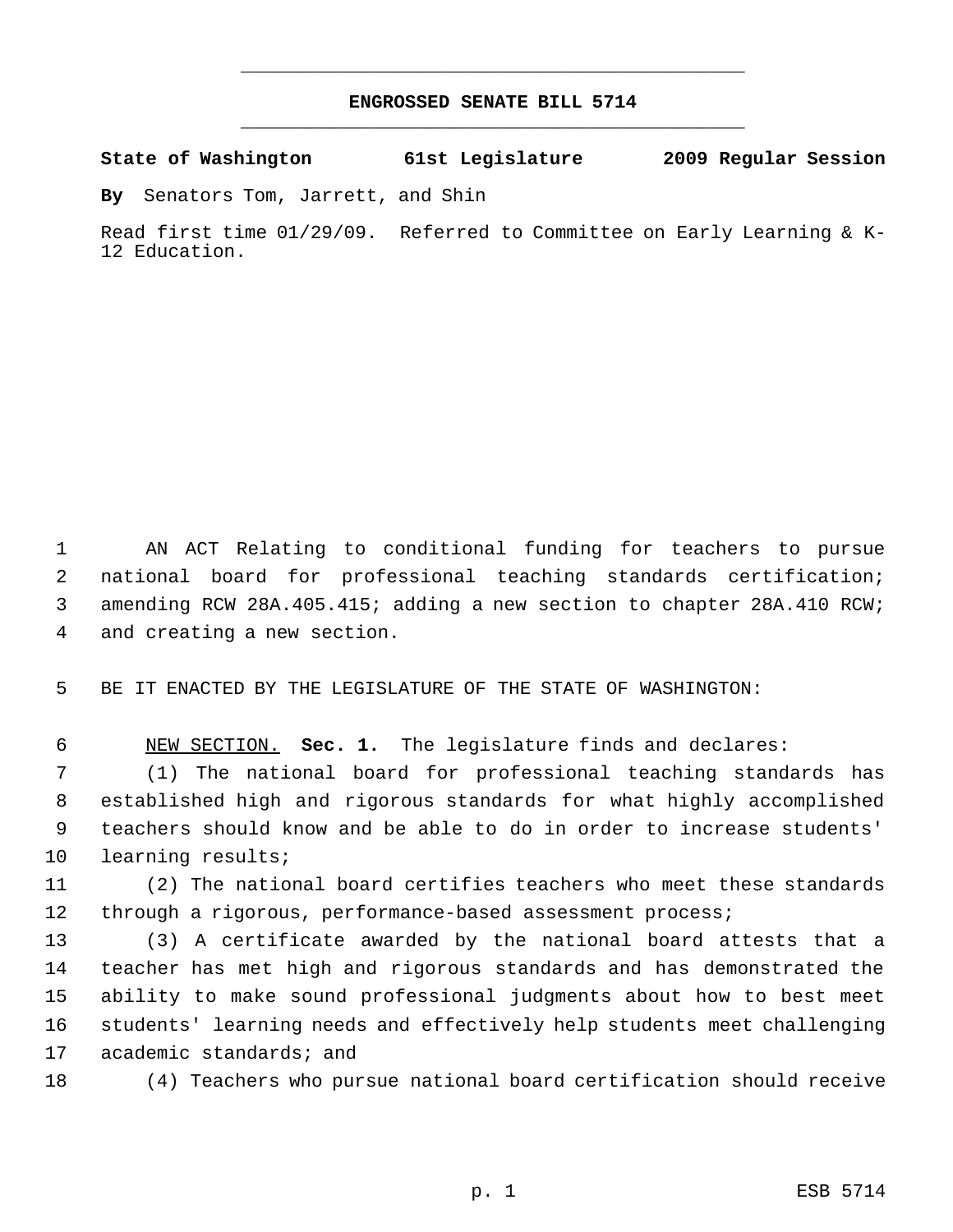## **ENGROSSED SENATE BILL 5714** \_\_\_\_\_\_\_\_\_\_\_\_\_\_\_\_\_\_\_\_\_\_\_\_\_\_\_\_\_\_\_\_\_\_\_\_\_\_\_\_\_\_\_\_\_

\_\_\_\_\_\_\_\_\_\_\_\_\_\_\_\_\_\_\_\_\_\_\_\_\_\_\_\_\_\_\_\_\_\_\_\_\_\_\_\_\_\_\_\_\_

**State of Washington 61st Legislature 2009 Regular Session**

**By** Senators Tom, Jarrett, and Shin

Read first time 01/29/09. Referred to Committee on Early Learning & K-12 Education.

 AN ACT Relating to conditional funding for teachers to pursue national board for professional teaching standards certification; amending RCW 28A.405.415; adding a new section to chapter 28A.410 RCW; and creating a new section.

BE IT ENACTED BY THE LEGISLATURE OF THE STATE OF WASHINGTON:

NEW SECTION. **Sec. 1.** The legislature finds and declares:

 (1) The national board for professional teaching standards has established high and rigorous standards for what highly accomplished teachers should know and be able to do in order to increase students' learning results;

 (2) The national board certifies teachers who meet these standards through a rigorous, performance-based assessment process;

 (3) A certificate awarded by the national board attests that a teacher has met high and rigorous standards and has demonstrated the ability to make sound professional judgments about how to best meet students' learning needs and effectively help students meet challenging academic standards; and

(4) Teachers who pursue national board certification should receive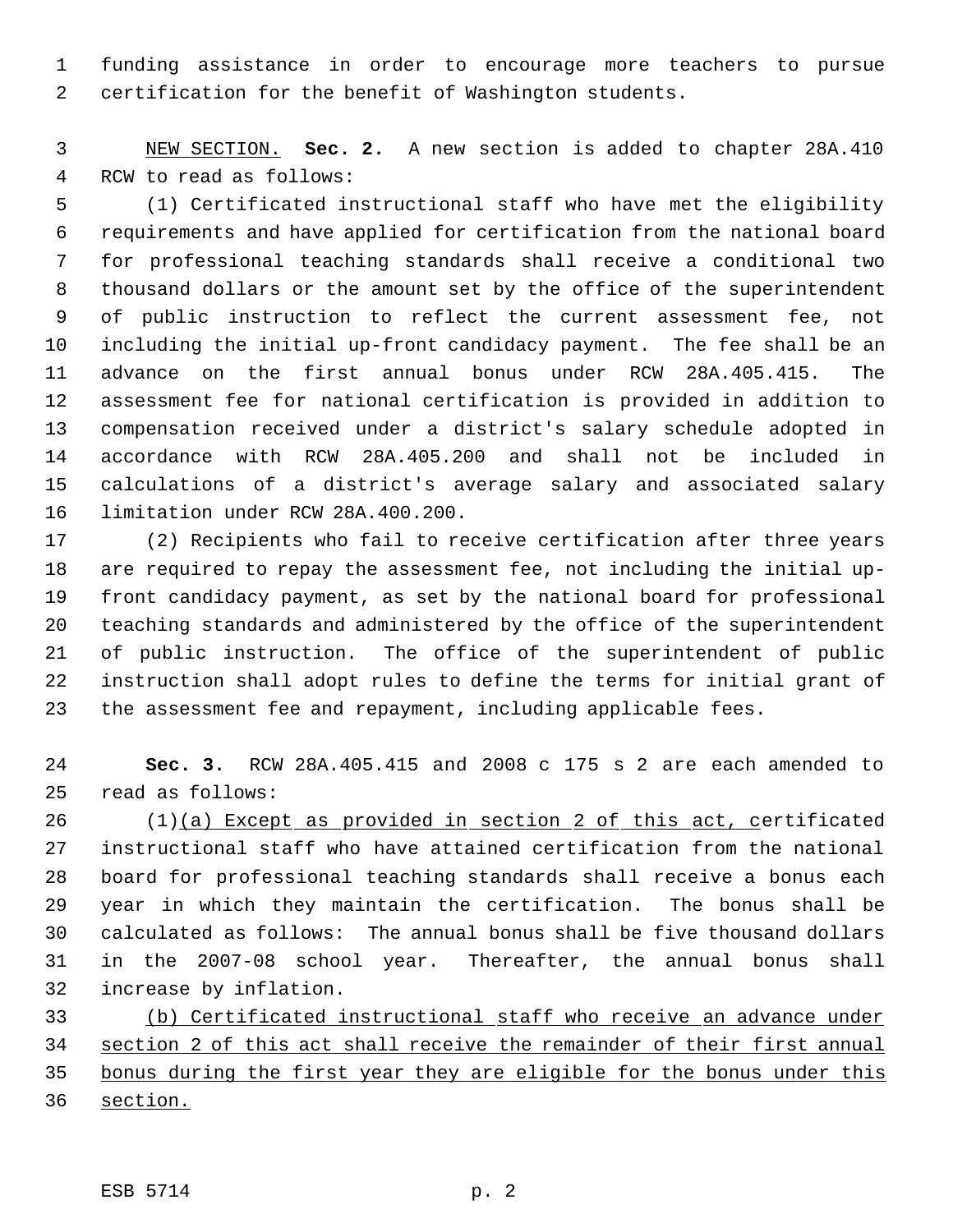funding assistance in order to encourage more teachers to pursue certification for the benefit of Washington students.

 NEW SECTION. **Sec. 2.** A new section is added to chapter 28A.410 RCW to read as follows:

 (1) Certificated instructional staff who have met the eligibility requirements and have applied for certification from the national board for professional teaching standards shall receive a conditional two thousand dollars or the amount set by the office of the superintendent of public instruction to reflect the current assessment fee, not including the initial up-front candidacy payment. The fee shall be an advance on the first annual bonus under RCW 28A.405.415. The assessment fee for national certification is provided in addition to compensation received under a district's salary schedule adopted in accordance with RCW 28A.405.200 and shall not be included in calculations of a district's average salary and associated salary limitation under RCW 28A.400.200.

 (2) Recipients who fail to receive certification after three years are required to repay the assessment fee, not including the initial up- front candidacy payment, as set by the national board for professional teaching standards and administered by the office of the superintendent of public instruction. The office of the superintendent of public instruction shall adopt rules to define the terms for initial grant of the assessment fee and repayment, including applicable fees.

 **Sec. 3.** RCW 28A.405.415 and 2008 c 175 s 2 are each amended to read as follows:

 (1)(a) Except as provided in section 2 of this act, certificated instructional staff who have attained certification from the national board for professional teaching standards shall receive a bonus each year in which they maintain the certification. The bonus shall be calculated as follows: The annual bonus shall be five thousand dollars in the 2007-08 school year. Thereafter, the annual bonus shall increase by inflation.

 (b) Certificated instructional staff who receive an advance under section 2 of this act shall receive the remainder of their first annual bonus during the first year they are eligible for the bonus under this section.